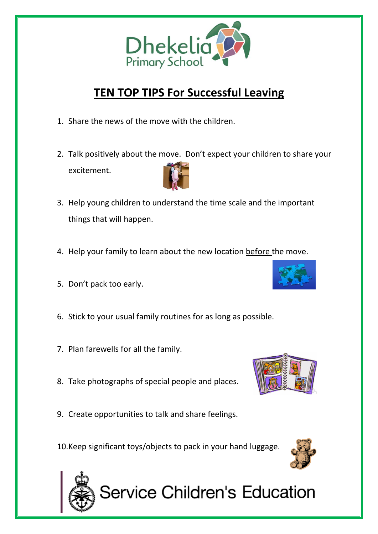

## **TEN TOP TIPS For Successful Leaving**

- 1. Share the news of the move with the children.
- 2. Talk positively about the move. Don't expect your children to share your excitement.
- 3. Help young children to understand the time scale and the important things that will happen.
- 4. Help your family to learn about the new location before the move.
- 5. Don't pack too early.

j

- 6. Stick to your usual family routines for as long as possible.
- 7. Plan farewells for all the family.
- 8. Take photographs of special people and places.
- 9. Create opportunities to talk and share feelings.

10.Keep significant toys/objects to pack in your hand luggage.